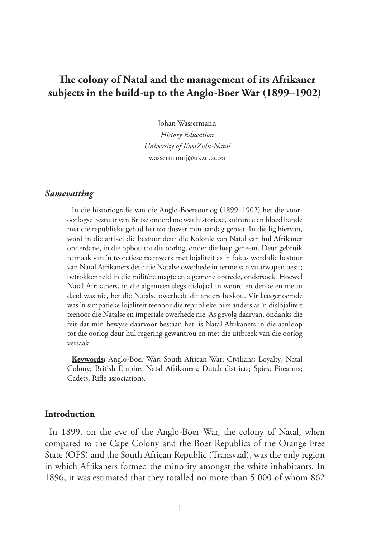# **The colony of Natal and the management of its Afrikaner subjects in the build-up to the Anglo-Boer War (1899–1902)**

Johan Wassermann *History Education University of KwaZulu-Natal* wassermannj@ukzn.ac.za

#### *Samevatting*

In die historiografie van die Anglo-Boereoorlog (1899–1902) het die vooroorlogse bestuur van Britse onderdane wat historiese, kulturele en bloed bande met die republieke gehad het tot dusver min aandag geniet. In die lig hiervan, word in die artikel die bestuur deur die Kolonie van Natal van hul Afrikaner onderdane, in die opbou tot die oorlog, onder die loep geneem. Deur gebruik te maak van 'n teoretiese raamwerk met lojaliteit as 'n fokus word die bestuur van Natal Afrikaners deur die Natalse owerhede in terme van vuurwapen besit; betrokkenheid in die militêre magte en algemene optrede, ondersoek. Hoewel Natal Afrikaners, in die algemeen slegs dislojaal in woord en denke en nie in daad was nie, het die Natalse owerhede dit anders beskou. Vir laasgenoemde was 'n simpatieke lojaliteit teenoor die republieke niks anders as 'n dislojaliteit teenoor die Natalse en imperiale owerhede nie. As gevolg daarvan, ondanks die feit dat min bewyse daarvoor bestaan het, is Natal Afrikaners in die aanloop tot die oorlog deur hul regering gewantrou en met die uitbreek van die oorlog versaak.

**Keywords:** Anglo-Boer War; South African War; Civilians; Loyalty; Natal Colony; British Empire; Natal Afrikaners; Dutch districts; Spies; Firearms; Cadets; Rifle associations.

#### **Introduction**

In 1899, on the eve of the Anglo-Boer War, the colony of Natal, when compared to the Cape Colony and the Boer Republics of the Orange Free State (OFS) and the South African Republic (Transvaal), was the only region in which Afrikaners formed the minority amongst the white inhabitants. In 1896, it was estimated that they totalled no more than 5 000 of whom 862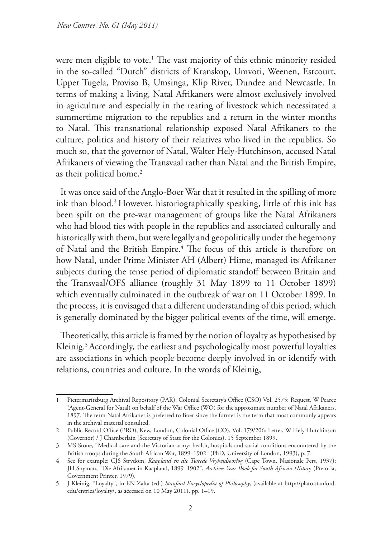were men eligible to vote.1 The vast majority of this ethnic minority resided in the so-called "Dutch" districts of Kranskop, Umvoti, Weenen, Estcourt, Upper Tugela, Proviso B, Umsinga, Klip River, Dundee and Newcastle. In terms of making a living, Natal Afrikaners were almost exclusively involved in agriculture and especially in the rearing of livestock which necessitated a summertime migration to the republics and a return in the winter months to Natal. This transnational relationship exposed Natal Afrikaners to the culture, politics and history of their relatives who lived in the republics. So much so, that the governor of Natal, Walter Hely-Hutchinson, accused Natal Afrikaners of viewing the Transvaal rather than Natal and the British Empire, as their political home.<sup>2</sup>

It was once said of the Anglo-Boer War that it resulted in the spilling of more ink than blood.3 However, historiographically speaking, little of this ink has been spilt on the pre-war management of groups like the Natal Afrikaners who had blood ties with people in the republics and associated culturally and historically with them, but were legally and geopolitically under the hegemony of Natal and the British Empire.<sup>4</sup> The focus of this article is therefore on how Natal, under Prime Minister AH (Albert) Hime, managed its Afrikaner subjects during the tense period of diplomatic standoff between Britain and the Transvaal/OFS alliance (roughly 31 May 1899 to 11 October 1899) which eventually culminated in the outbreak of war on 11 October 1899. In the process, it is envisaged that a different understanding of this period, which is generally dominated by the bigger political events of the time, will emerge.

Theoretically, this article is framed by the notion of loyalty as hypothesised by Kleinig.<sup>5</sup> Accordingly, the earliest and psychologically most powerful loyalties are associations in which people become deeply involved in or identify with relations, countries and culture. In the words of Kleinig,

<sup>1</sup> Pietermaritzburg Archival Repository (PAR), Colonial Secretary's Office (CSO) Vol. 2575: Request, W Pearce (Agent-General for Natal) on behalf of the War Office (WO) for the approximate number of Natal Afrikaners, 1897. The term Natal Afrikaner is preferred to Boer since the former is the term that most commonly appears in the archival material consulted.

<sup>2</sup> Public Record Office (PRO), Kew, London, Colonial Office (CO), Vol. 179/206: Letter, W Hely-Hutchinson (Governor) / J Chamberlain (Secretary of State for the Colonies), 15 September 1899.

<sup>3</sup> MS Stone, "Medical care and the Victorian army: health, hospitals and social conditions encountered by the British troops during the South African War, 1899–1902" (PhD, University of London, 1993), p. 7.

<sup>4</sup> See for example: CJS Strydom, *Kaapland en die Tweede Vryheidsoorlog* (Cape Town, Nasionale Pers, 1937); JH Snyman, "Die Afrikaner in Kaapland, 1899–1902", *Archives Year Book for South African Histor*y (Pretoria, Government Printer, 1979).

<sup>5</sup> J Kleinig, "Loyalty", in EN Zalta (ed.) *Stanford Encyclopedia of Philosophy*, (available at http://plato.stanford. edu/entries/loyalty/, as accessed on 10 May 2011), pp. 1–19.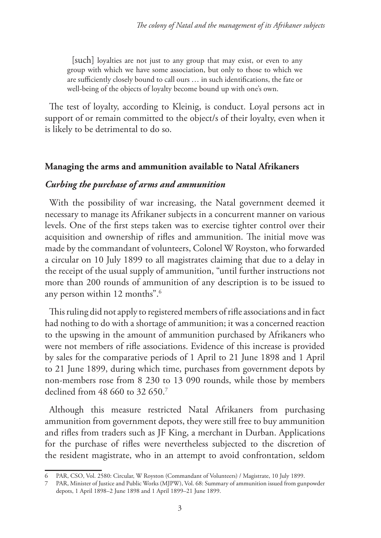[such] loyalties are not just to any group that may exist, or even to any group with which we have some association, but only to those to which we are sufficiently closely bound to call ours … in such identifications, the fate or well-being of the objects of loyalty become bound up with one's own.

The test of loyalty, according to Kleinig, is conduct. Loyal persons act in support of or remain committed to the object/s of their loyalty, even when it is likely to be detrimental to do so.

## **Managing the arms and ammunition available to Natal Afrikaners**

## *Curbing the purchase of arms and ammunition*

With the possibility of war increasing, the Natal government deemed it necessary to manage its Afrikaner subjects in a concurrent manner on various levels. One of the first steps taken was to exercise tighter control over their acquisition and ownership of rifles and ammunition. The initial move was made by the commandant of volunteers, Colonel W Royston, who forwarded a circular on 10 July 1899 to all magistrates claiming that due to a delay in the receipt of the usual supply of ammunition, "until further instructions not more than 200 rounds of ammunition of any description is to be issued to any person within 12 months".6

This ruling did not apply to registered members of rifle associations and in fact had nothing to do with a shortage of ammunition; it was a concerned reaction to the upswing in the amount of ammunition purchased by Afrikaners who were not members of rifle associations. Evidence of this increase is provided by sales for the comparative periods of 1 April to 21 June 1898 and 1 April to 21 June 1899, during which time, purchases from government depots by non-members rose from 8 230 to 13 090 rounds, while those by members declined from 48 660 to 32 650.7

Although this measure restricted Natal Afrikaners from purchasing ammunition from government depots, they were still free to buy ammunition and rifles from traders such as JF King, a merchant in Durban. Applications for the purchase of rifles were nevertheless subjected to the discretion of the resident magistrate, who in an attempt to avoid confrontation, seldom

<sup>6</sup> PAR, CSO, Vol. 2580: Circular, W Royston (Commandant of Volunteers) / Magistrate, 10 July 1899.

<sup>7</sup> PAR, Minister of Justice and Public Works (MJPW), Vol. 68: Summary of ammunition issued from gunpowder depots, 1 April 1898–2 June 1898 and 1 April 1899–21 June 1899.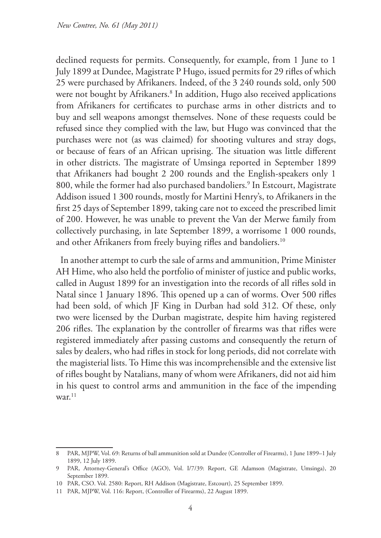declined requests for permits. Consequently, for example, from 1 June to 1 July 1899 at Dundee, Magistrate P Hugo, issued permits for 29 rifles of which 25 were purchased by Afrikaners. Indeed, of the 3 240 rounds sold, only 500 were not bought by Afrikaners.<sup>8</sup> In addition, Hugo also received applications from Afrikaners for certificates to purchase arms in other districts and to buy and sell weapons amongst themselves. None of these requests could be refused since they complied with the law, but Hugo was convinced that the purchases were not (as was claimed) for shooting vultures and stray dogs, or because of fears of an African uprising. The situation was little different in other districts. The magistrate of Umsinga reported in September 1899 that Afrikaners had bought 2 200 rounds and the English-speakers only 1 800, while the former had also purchased bandoliers.9 In Estcourt, Magistrate Addison issued 1 300 rounds, mostly for Martini Henry's, to Afrikaners in the first 25 days of September 1899, taking care not to exceed the prescribed limit of 200. However, he was unable to prevent the Van der Merwe family from collectively purchasing, in late September 1899, a worrisome 1 000 rounds, and other Afrikaners from freely buying rifles and bandoliers.<sup>10</sup>

In another attempt to curb the sale of arms and ammunition, Prime Minister AH Hime, who also held the portfolio of minister of justice and public works, called in August 1899 for an investigation into the records of all rifles sold in Natal since 1 January 1896. This opened up a can of worms. Over 500 rifles had been sold, of which JF King in Durban had sold 312. Of these, only two were licensed by the Durban magistrate, despite him having registered 206 rifles. The explanation by the controller of firearms was that rifles were registered immediately after passing customs and consequently the return of sales by dealers, who had rifles in stock for long periods, did not correlate with the magisterial lists. To Hime this was incomprehensible and the extensive list of rifles bought by Natalians, many of whom were Afrikaners, did not aid him in his quest to control arms and ammunition in the face of the impending war. $11$ 

<sup>8</sup> PAR, MJPW, Vol. 69: Returns of ball ammunition sold at Dundee (Controller of Firearms), 1 June 1899–1 July 1899, 12 July 1899.

<sup>9</sup> PAR, Attorney-General's Office (AGO), Vol. I/7/39: Report, GE Adamson (Magistrate, Umsinga), 20 September 1899.

<sup>10</sup> PAR, CSO. Vol. 2580: Report, RH Addison (Magistrate, Estcourt), 25 September 1899.

<sup>11</sup> PAR, MJPW, Vol. 116: Report, (Controller of Firearms), 22 August 1899.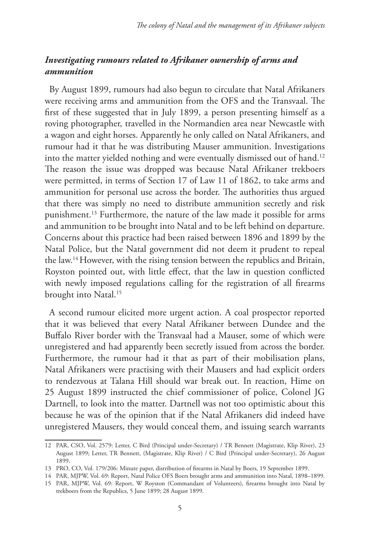## *Investigating rumours related to Afrikaner ownership of arms and ammunition*

By August 1899, rumours had also begun to circulate that Natal Afrikaners were receiving arms and ammunition from the OFS and the Transvaal. The first of these suggested that in July 1899, a person presenting himself as a roving photographer, travelled in the Normandien area near Newcastle with a wagon and eight horses. Apparently he only called on Natal Afrikaners, and rumour had it that he was distributing Mauser ammunition. Investigations into the matter yielded nothing and were eventually dismissed out of hand.<sup>12</sup> The reason the issue was dropped was because Natal Afrikaner trekboers were permitted, in terms of Section 17 of Law 11 of 1862, to take arms and ammunition for personal use across the border. The authorities thus argued that there was simply no need to distribute ammunition secretly and risk punishment.13 Furthermore, the nature of the law made it possible for arms and ammunition to be brought into Natal and to be left behind on departure. Concerns about this practice had been raised between 1896 and 1899 by the Natal Police, but the Natal government did not deem it prudent to repeal the law.14 However, with the rising tension between the republics and Britain, Royston pointed out, with little effect, that the law in question conflicted with newly imposed regulations calling for the registration of all firearms brought into Natal.15

A second rumour elicited more urgent action. A coal prospector reported that it was believed that every Natal Afrikaner between Dundee and the Buffalo River border with the Transvaal had a Mauser, some of which were unregistered and had apparently been secretly issued from across the border. Furthermore, the rumour had it that as part of their mobilisation plans, Natal Afrikaners were practising with their Mausers and had explicit orders to rendezvous at Talana Hill should war break out. In reaction, Hime on 25 August 1899 instructed the chief commissioner of police, Colonel JG Dartnell, to look into the matter. Dartnell was not too optimistic about this because he was of the opinion that if the Natal Afrikaners did indeed have unregistered Mausers, they would conceal them, and issuing search warrants

<sup>12</sup> PAR, CSO, Vol. 2579: Letter, C Bird (Principal under-Secretary) / TR Bennett (Magistrate, Klip River), 23 August 1899; Letter, TR Bennett, (Magistrate, Klip River) / C Bird (Principal under-Secretary), 26 August 1899.

<sup>13</sup> PRO, CO, Vol. 179/206: Minute paper, distribution of firearms in Natal by Boers, 19 September 1899.

<sup>14</sup> PAR, MJPW, Vol. 69: Report, Natal Police OFS Boers brought arms and ammunition into Natal, 1898–1899. 15 PAR, MJPW, Vol. 69: Report, W Royston (Commandant of Volunteers), firearms brought into Natal by

trekboers from the Republics, 5 June 1899; 28 August 1899.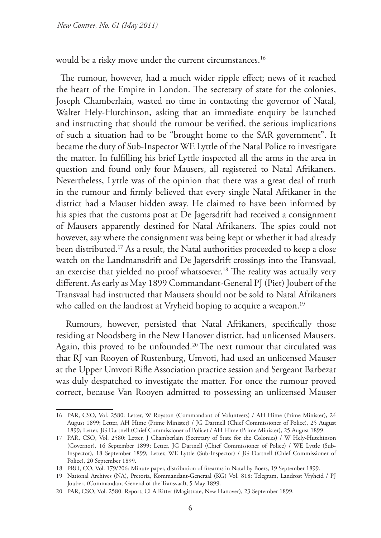would be a risky move under the current circumstances.<sup>16</sup>

The rumour, however, had a much wider ripple effect; news of it reached the heart of the Empire in London. The secretary of state for the colonies, Joseph Chamberlain, wasted no time in contacting the governor of Natal, Walter Hely-Hutchinson, asking that an immediate enquiry be launched and instructing that should the rumour be verified, the serious implications of such a situation had to be "brought home to the SAR government". It became the duty of Sub-Inspector WE Lyttle of the Natal Police to investigate the matter. In fulfilling his brief Lyttle inspected all the arms in the area in question and found only four Mausers, all registered to Natal Afrikaners. Nevertheless, Lyttle was of the opinion that there was a great deal of truth in the rumour and firmly believed that every single Natal Afrikaner in the district had a Mauser hidden away. He claimed to have been informed by his spies that the customs post at De Jagersdrift had received a consignment of Mausers apparently destined for Natal Afrikaners. The spies could not however, say where the consignment was being kept or whether it had already been distributed.<sup>17</sup> As a result, the Natal authorities proceeded to keep a close watch on the Landmansdrift and De Jagersdrift crossings into the Transvaal, an exercise that yielded no proof whatsoever.<sup>18</sup> The reality was actually very different. As early as May 1899 Commandant-General PJ (Piet) Joubert of the Transvaal had instructed that Mausers should not be sold to Natal Afrikaners who called on the landrost at Vryheid hoping to acquire a weapon.<sup>19</sup>

 Rumours, however, persisted that Natal Afrikaners, specifically those residing at Noodsberg in the New Hanover district, had unlicensed Mausers. Again, this proved to be unfounded.<sup>20</sup> The next rumour that circulated was that RJ van Rooyen of Rustenburg, Umvoti, had used an unlicensed Mauser at the Upper Umvoti Rifle Association practice session and Sergeant Barbezat was duly despatched to investigate the matter. For once the rumour proved correct, because Van Rooyen admitted to possessing an unlicensed Mauser

<sup>16</sup> PAR, CSO, Vol. 2580: Letter, W Royston (Commandant of Volunteers) / AH Hime (Prime Minister), 24 August 1899; Letter, AH Hime (Prime Minister) / JG Dartnell (Chief Commissioner of Police), 25 August 1899; Letter, JG Dartnell (Chief Commissioner of Police) / AH Hime (Prime Minister), 25 August 1899.

<sup>17</sup> PAR, CSO, Vol. 2580: Letter, J Chamberlain (Secretary of State for the Colonies) / W Hely-Hutchinson (Governor), 16 September 1899; Letter, JG Dartnell (Chief Commissioner of Police) / WE Lyttle (Sub-Inspector), 18 September 1899; Letter, WE Lyttle (Sub-Inspector) / JG Dartnell (Chief Commissioner of Police), 20 September 1899.

<sup>18</sup> PRO, CO, Vol. 179/206: Minute paper, distribution of firearms in Natal by Boers, 19 September 1899.

<sup>19</sup> National Archives (NA), Pretoria, Kommandant-Generaal (KG) Vol. 818: Telegram, Landrost Vryheid / PJ Joubert (Commandant-General of the Transvaal), 5 May 1899.

<sup>20</sup> PAR, CSO, Vol. 2580: Report, CLA Ritter (Magistrate, New Hanover), 23 September 1899.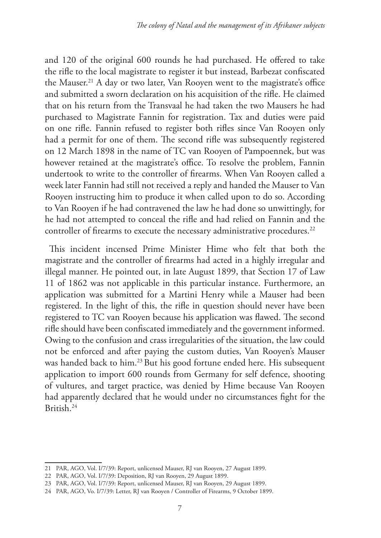and 120 of the original 600 rounds he had purchased. He offered to take the rifle to the local magistrate to register it but instead, Barbezat confiscated the Mauser.21 A day or two later, Van Rooyen went to the magistrate's office and submitted a sworn declaration on his acquisition of the rifle. He claimed that on his return from the Transvaal he had taken the two Mausers he had purchased to Magistrate Fannin for registration. Tax and duties were paid on one rifle. Fannin refused to register both rifles since Van Rooyen only had a permit for one of them. The second rifle was subsequently registered on 12 March 1898 in the name of TC van Rooyen of Pampoennek, but was however retained at the magistrate's office. To resolve the problem, Fannin undertook to write to the controller of firearms. When Van Rooyen called a week later Fannin had still not received a reply and handed the Mauser to Van Rooyen instructing him to produce it when called upon to do so. According to Van Rooyen if he had contravened the law he had done so unwittingly, for he had not attempted to conceal the rifle and had relied on Fannin and the controller of firearms to execute the necessary administrative procedures.<sup>22</sup>

This incident incensed Prime Minister Hime who felt that both the magistrate and the controller of firearms had acted in a highly irregular and illegal manner. He pointed out, in late August 1899, that Section 17 of Law 11 of 1862 was not applicable in this particular instance. Furthermore, an application was submitted for a Martini Henry while a Mauser had been registered. In the light of this, the rifle in question should never have been registered to TC van Rooyen because his application was flawed. The second rifle should have been confiscated immediately and the government informed. Owing to the confusion and crass irregularities of the situation, the law could not be enforced and after paying the custom duties, Van Rooyen's Mauser was handed back to him.23 But his good fortune ended here. His subsequent application to import 600 rounds from Germany for self defence, shooting of vultures, and target practice, was denied by Hime because Van Rooyen had apparently declared that he would under no circumstances fight for the British.24

<sup>21</sup> PAR, AGO, Vol. I/7/39: Report, unlicensed Mauser, RJ van Rooyen, 27 August 1899.

<sup>22</sup> PAR, AGO, Vol. I/7/39: Deposition, RJ van Rooyen, 29 August 1899.

<sup>23</sup> PAR, AGO, Vol. I/7/39: Report, unlicensed Mauser, RJ van Rooyen, 29 August 1899.

<sup>24</sup> PAR, AGO, Vo. I/7/39: Letter, RJ van Rooyen / Controller of Firearms, 9 October 1899.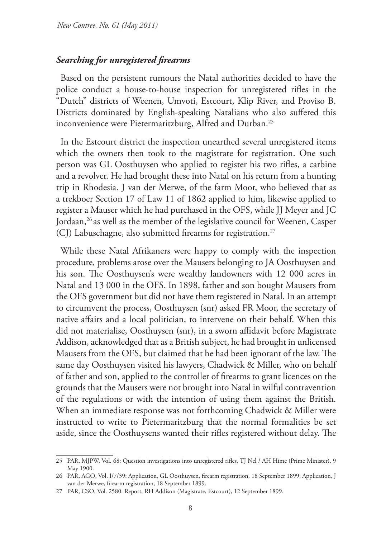#### *Searching for unregistered firearms*

Based on the persistent rumours the Natal authorities decided to have the police conduct a house-to-house inspection for unregistered rifles in the "Dutch" districts of Weenen, Umvoti, Estcourt, Klip River, and Proviso B. Districts dominated by English-speaking Natalians who also suffered this inconvenience were Pietermaritzburg, Alfred and Durban.<sup>25</sup>

In the Estcourt district the inspection unearthed several unregistered items which the owners then took to the magistrate for registration. One such person was GL Oosthuysen who applied to register his two rifles, a carbine and a revolver. He had brought these into Natal on his return from a hunting trip in Rhodesia. J van der Merwe, of the farm Moor, who believed that as a trekboer Section 17 of Law 11 of 1862 applied to him, likewise applied to register a Mauser which he had purchased in the OFS, while JJ Meyer and JC Jordaan,<sup>26</sup> as well as the member of the legislative council for Weenen, Casper (CJ) Labuschagne, also submitted firearms for registration.<sup>27</sup>

While these Natal Afrikaners were happy to comply with the inspection procedure, problems arose over the Mausers belonging to JA Oosthuysen and his son. The Oosthuysen's were wealthy landowners with 12 000 acres in Natal and 13 000 in the OFS. In 1898, father and son bought Mausers from the OFS government but did not have them registered in Natal. In an attempt to circumvent the process, Oosthuysen (snr) asked FR Moor, the secretary of native affairs and a local politician, to intervene on their behalf. When this did not materialise, Oosthuysen (snr), in a sworn affidavit before Magistrate Addison, acknowledged that as a British subject, he had brought in unlicensed Mausers from the OFS, but claimed that he had been ignorant of the law. The same day Oosthuysen visited his lawyers, Chadwick & Miller, who on behalf of father and son, applied to the controller of firearms to grant licences on the grounds that the Mausers were not brought into Natal in wilful contravention of the regulations or with the intention of using them against the British. When an immediate response was not forthcoming Chadwick & Miller were instructed to write to Pietermaritzburg that the normal formalities be set aside, since the Oosthuysens wanted their rifles registered without delay. The

<sup>25</sup> PAR, MJPW, Vol. 68: Question investigations into unregistered rifles, TJ Nel / AH Hime (Prime Minister), 9 May 1900.

<sup>26</sup> PAR, AGO, Vol. I/7/39: Application, GL Oosthuysen, firearm registration, 18 September 1899; Application, J van der Merwe, firearm registration, 18 September 1899.

<sup>27</sup> PAR, CSO, Vol. 2580: Report, RH Addison (Magistrate, Estcourt), 12 September 1899.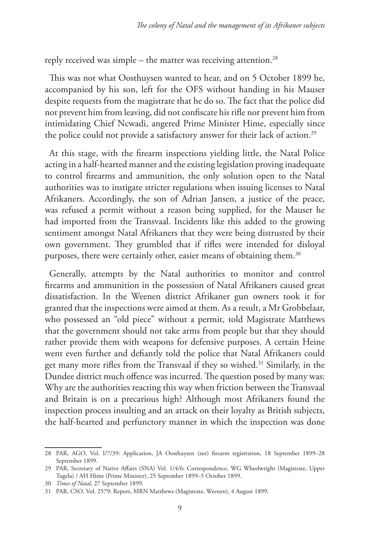reply received was simple – the matter was receiving attention.<sup>28</sup>

This was not what Oosthuysen wanted to hear, and on 5 October 1899 he, accompanied by his son, left for the OFS without handing in his Mauser despite requests from the magistrate that he do so. The fact that the police did not prevent him from leaving, did not confiscate his rifle nor prevent him from intimidating Chief Ncwadi, angered Prime Minister Hime, especially since the police could not provide a satisfactory answer for their lack of action.<sup>29</sup>

At this stage, with the firearm inspections yielding little, the Natal Police acting in a half-hearted manner and the existing legislation proving inadequate to control firearms and ammunition, the only solution open to the Natal authorities was to instigate stricter regulations when issuing licenses to Natal Afrikaners. Accordingly, the son of Adrian Jansen, a justice of the peace, was refused a permit without a reason being supplied, for the Mauser he had imported from the Transvaal. Incidents like this added to the growing sentiment amongst Natal Afrikaners that they were being distrusted by their own government. They grumbled that if rifles were intended for disloyal purposes, there were certainly other, easier means of obtaining them.<sup>30</sup>

Generally, attempts by the Natal authorities to monitor and control firearms and ammunition in the possession of Natal Afrikaners caused great dissatisfaction. In the Weenen district Afrikaner gun owners took it for granted that the inspections were aimed at them. As a result, a Mr Grobbelaar, who possessed an "old piece" without a permit, told Magistrate Matthews that the government should not take arms from people but that they should rather provide them with weapons for defensive purposes. A certain Heine went even further and defiantly told the police that Natal Afrikaners could get many more rifles from the Transvaal if they so wished.<sup>31</sup> Similarly, in the Dundee district much offence was incurred. The question posed by many was: Why are the authorities reacting this way when friction between the Transvaal and Britain is on a precarious high? Although most Afrikaners found the inspection process insulting and an attack on their loyalty as British subjects, the half-hearted and perfunctory manner in which the inspection was done

<sup>28</sup> PAR, AGO, Vol. I/7/39: Application, JA Oosthuysen (snr) firearm registration, 18 September 1899–28 September 1899.

<sup>29</sup> PAR, Secretary of Native Affairs (SNA) Vol. 1/4/6: Correspondence, WG Wheelwright (Magistrate, Upper Tugela) / AH Hime (Prime Minister), 25 September 1899–5 October 1899.

<sup>30</sup> *Times of Natal*, 27 September 1899.

<sup>31</sup> PAR, CSO, Vol. 2579: Report, MRN Matthews (Magistrate, Weenen), 4 August 1899.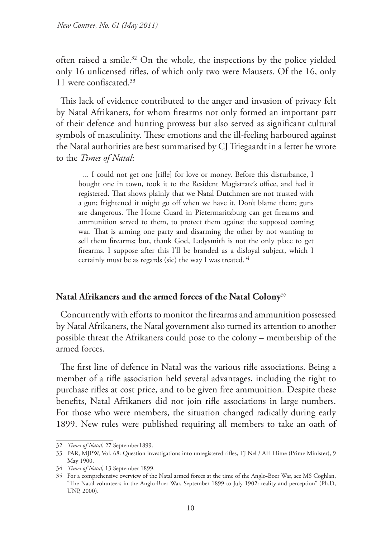often raised a smile.32 On the whole, the inspections by the police yielded only 16 unlicensed rifles, of which only two were Mausers. Of the 16, only 11 were confiscated.33

This lack of evidence contributed to the anger and invasion of privacy felt by Natal Afrikaners, for whom firearms not only formed an important part of their defence and hunting prowess but also served as significant cultural symbols of masculinity. These emotions and the ill-feeling harboured against the Natal authorities are best summarised by CJ Triegaardt in a letter he wrote to the *Times of Natal*:

... I could not get one [rifle] for love or money. Before this disturbance, I bought one in town, took it to the Resident Magistrate's office, and had it registered. That shows plainly that we Natal Dutchmen are not trusted with a gun; frightened it might go off when we have it. Don't blame them; guns are dangerous. The Home Guard in Pietermaritzburg can get firearms and ammunition served to them, to protect them against the supposed coming war. That is arming one party and disarming the other by not wanting to sell them firearms; but, thank God, Ladysmith is not the only place to get firearms. I suppose after this I'll be branded as a disloyal subject, which I certainly must be as regards (sic) the way I was treated.<sup>34</sup>

## **Natal Afrikaners and the armed forces of the Natal Colony**<sup>35</sup>

Concurrently with efforts to monitor the firearms and ammunition possessed by Natal Afrikaners, the Natal government also turned its attention to another possible threat the Afrikaners could pose to the colony – membership of the armed forces.

The first line of defence in Natal was the various rifle associations. Being a member of a rifle association held several advantages, including the right to purchase rifles at cost price, and to be given free ammunition. Despite these benefits, Natal Afrikaners did not join rifle associations in large numbers. For those who were members, the situation changed radically during early 1899. New rules were published requiring all members to take an oath of

<sup>32</sup> *Times of Natal*, 27 September1899.

<sup>33</sup> PAR, MJPW, Vol. 68: Question investigations into unregistered rifles, TJ Nel / AH Hime (Prime Minister), 9 May 1900.

<sup>34</sup> *Times of Natal,* 13 September 1899.

<sup>35</sup> For a comprehensive overview of the Natal armed forces at the time of the Anglo-Boer War, see MS Coghlan, "The Natal volunteers in the Anglo-Boer War, September 1899 to July 1902: reality and perception" (Ph.D, UNP, 2000).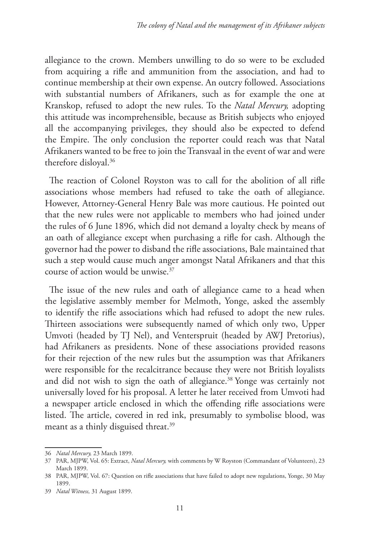allegiance to the crown. Members unwilling to do so were to be excluded from acquiring a rifle and ammunition from the association, and had to continue membership at their own expense. An outcry followed. Associations with substantial numbers of Afrikaners, such as for example the one at Kranskop, refused to adopt the new rules. To the *Natal Mercury,* adopting this attitude was incomprehensible, because as British subjects who enjoyed all the accompanying privileges, they should also be expected to defend the Empire. The only conclusion the reporter could reach was that Natal Afrikaners wanted to be free to join the Transvaal in the event of war and were therefore disloyal.36

The reaction of Colonel Royston was to call for the abolition of all rifle associations whose members had refused to take the oath of allegiance. However, Attorney-General Henry Bale was more cautious. He pointed out that the new rules were not applicable to members who had joined under the rules of 6 June 1896, which did not demand a loyalty check by means of an oath of allegiance except when purchasing a rifle for cash. Although the governor had the power to disband the rifle associations, Bale maintained that such a step would cause much anger amongst Natal Afrikaners and that this course of action would be unwise.37

The issue of the new rules and oath of allegiance came to a head when the legislative assembly member for Melmoth, Yonge, asked the assembly to identify the rifle associations which had refused to adopt the new rules. Thirteen associations were subsequently named of which only two, Upper Umvoti (headed by TJ Nel), and Venterspruit (headed by AWJ Pretorius), had Afrikaners as presidents. None of these associations provided reasons for their rejection of the new rules but the assumption was that Afrikaners were responsible for the recalcitrance because they were not British loyalists and did not wish to sign the oath of allegiance.<sup>38</sup> Yonge was certainly not universally loved for his proposal. A letter he later received from Umvoti had a newspaper article enclosed in which the offending rifle associations were listed. The article, covered in red ink, presumably to symbolise blood, was meant as a thinly disguised threat.<sup>39</sup>

<sup>36</sup> *Natal Mercury,* 23 March 1899.

<sup>37</sup> PAR, MJPW, Vol. 65: Extract, *Natal Mercury,* with comments by W Royston (Commandant of Volunteers), 23 March 1899.

<sup>38</sup> PAR, MJPW, Vol. 67: Question on rifle associations that have failed to adopt new regulations, Yonge, 30 May 1899.

<sup>39</sup> *Natal Witness,* 31 August 1899.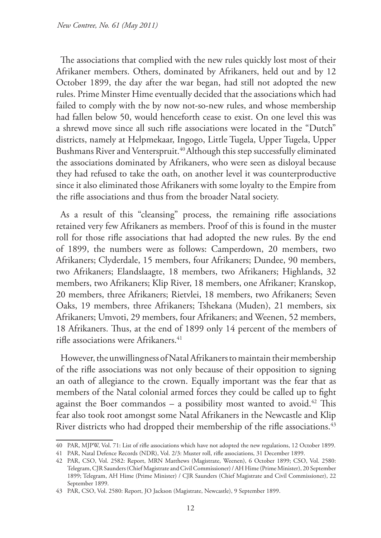The associations that complied with the new rules quickly lost most of their Afrikaner members. Others, dominated by Afrikaners, held out and by 12 October 1899, the day after the war began, had still not adopted the new rules. Prime Minster Hime eventually decided that the associations which had failed to comply with the by now not-so-new rules, and whose membership had fallen below 50, would henceforth cease to exist. On one level this was a shrewd move since all such rifle associations were located in the "Dutch" districts, namely at Helpmekaar, Ingogo, Little Tugela, Upper Tugela, Upper Bushmans River and Venterspruit.<sup>40</sup> Although this step successfully eliminated the associations dominated by Afrikaners, who were seen as disloyal because they had refused to take the oath, on another level it was counterproductive since it also eliminated those Afrikaners with some loyalty to the Empire from the rifle associations and thus from the broader Natal society.

As a result of this "cleansing" process, the remaining rifle associations retained very few Afrikaners as members. Proof of this is found in the muster roll for those rifle associations that had adopted the new rules. By the end of 1899, the numbers were as follows: Camperdown, 20 members, two Afrikaners; Clyderdale, 15 members, four Afrikaners; Dundee, 90 members, two Afrikaners; Elandslaagte, 18 members, two Afrikaners; Highlands, 32 members, two Afrikaners; Klip River, 18 members, one Afrikaner; Kranskop, 20 members, three Afrikaners; Rietvlei, 18 members, two Afrikaners; Seven Oaks, 19 members, three Afrikaners; Tshekana (Muden), 21 members, six Afrikaners; Umvoti, 29 members, four Afrikaners; and Weenen, 52 members, 18 Afrikaners. Thus, at the end of 1899 only 14 percent of the members of rifle associations were Afrikaners.<sup>41</sup>

However, the unwillingness of Natal Afrikaners to maintain their membership of the rifle associations was not only because of their opposition to signing an oath of allegiance to the crown. Equally important was the fear that as members of the Natal colonial armed forces they could be called up to fight against the Boer commandos – a possibility most wanted to avoid.<sup>42</sup> This fear also took root amongst some Natal Afrikaners in the Newcastle and Klip River districts who had dropped their membership of the rifle associations.<sup>43</sup>

<sup>40</sup> PAR, MJPW, Vol. 71: List of rifle associations which have not adopted the new regulations, 12 October 1899.

<sup>41</sup> PAR, Natal Defence Records (NDR), Vol. 2/3: Muster roll, rifle associations, 31 December 1899.

<sup>42</sup> PAR, CSO, Vol. 2582: Report, MRN Matthews (Magistrate, Weenen), 6 October 1899; CSO, Vol. 2580: Telegram, CJR Saunders (Chief Magistrate and Civil Commissioner) / AH Hime (Prime Minister), 20 September 1899; Telegram, AH Hime (Prime Minister) / CJR Saunders (Chief Magistrate and Civil Commissioner), 22 September 1899.

<sup>43</sup> PAR, CSO, Vol. 2580: Report, JO Jackson (Magistrate, Newcastle), 9 September 1899.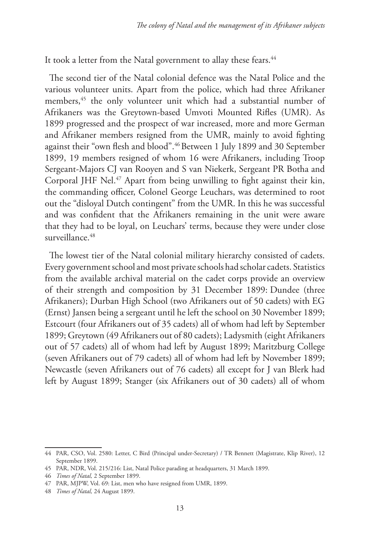It took a letter from the Natal government to allay these fears.<sup>44</sup>

The second tier of the Natal colonial defence was the Natal Police and the various volunteer units. Apart from the police, which had three Afrikaner members,45 the only volunteer unit which had a substantial number of Afrikaners was the Greytown-based Umvoti Mounted Rifles (UMR). As 1899 progressed and the prospect of war increased, more and more German and Afrikaner members resigned from the UMR, mainly to avoid fighting against their "own flesh and blood".46 Between 1 July 1899 and 30 September 1899, 19 members resigned of whom 16 were Afrikaners, including Troop Sergeant-Majors CJ van Rooyen and S van Niekerk, Sergeant PR Botha and Corporal JHF Nel.<sup>47</sup> Apart from being unwilling to fight against their kin, the commanding officer, Colonel George Leuchars, was determined to root out the "disloyal Dutch contingent" from the UMR. In this he was successful and was confident that the Afrikaners remaining in the unit were aware that they had to be loyal, on Leuchars' terms, because they were under close surveillance.<sup>48</sup>

The lowest tier of the Natal colonial military hierarchy consisted of cadets. Every government school and most private schools had scholar cadets. Statistics from the available archival material on the cadet corps provide an overview of their strength and composition by 31 December 1899: Dundee (three Afrikaners); Durban High School (two Afrikaners out of 50 cadets) with EG (Ernst) Jansen being a sergeant until he left the school on 30 November 1899; Estcourt (four Afrikaners out of 35 cadets) all of whom had left by September 1899; Greytown (49 Afrikaners out of 80 cadets); Ladysmith (eight Afrikaners out of 57 cadets) all of whom had left by August 1899; Maritzburg College (seven Afrikaners out of 79 cadets) all of whom had left by November 1899; Newcastle (seven Afrikaners out of 76 cadets) all except for J van Blerk had left by August 1899; Stanger (six Afrikaners out of 30 cadets) all of whom

<sup>44</sup> PAR, CSO, Vol. 2580: Letter, C Bird (Principal under-Secretary) / TR Bennett (Magistrate, Klip River), 12 September 1899.

<sup>45</sup> PAR, NDR, Vol. 215/216: List, Natal Police parading at headquarters, 31 March 1899.

<sup>46</sup> *Times of Natal,* 2 September 1899.

<sup>47</sup> PAR, MJPW, Vol. 69: List, men who have resigned from UMR, 1899.

<sup>48</sup> *Times of Natal,* 24 August 1899.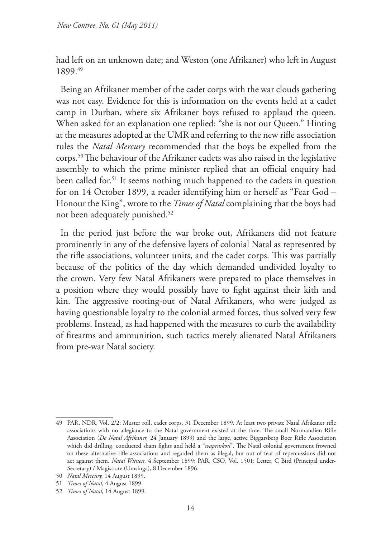had left on an unknown date; and Weston (one Afrikaner) who left in August 1899.49

Being an Afrikaner member of the cadet corps with the war clouds gathering was not easy. Evidence for this is information on the events held at a cadet camp in Durban, where six Afrikaner boys refused to applaud the queen. When asked for an explanation one replied: "she is not our Queen." Hinting at the measures adopted at the UMR and referring to the new rifle association rules the *Natal Mercury* recommended that the boys be expelled from the corps.50 The behaviour of the Afrikaner cadets was also raised in the legislative assembly to which the prime minister replied that an official enquiry had been called for.<sup>51</sup> It seems nothing much happened to the cadets in question for on 14 October 1899, a reader identifying him or herself as "Fear God – Honour the King", wrote to the *Times of Natal* complaining that the boys had not been adequately punished.<sup>52</sup>

In the period just before the war broke out, Afrikaners did not feature prominently in any of the defensive layers of colonial Natal as represented by the rifle associations, volunteer units, and the cadet corps. This was partially because of the politics of the day which demanded undivided loyalty to the crown. Very few Natal Afrikaners were prepared to place themselves in a position where they would possibly have to fight against their kith and kin. The aggressive rooting-out of Natal Afrikaners, who were judged as having questionable loyalty to the colonial armed forces, thus solved very few problems. Instead, as had happened with the measures to curb the availability of firearms and ammunition, such tactics merely alienated Natal Afrikaners from pre-war Natal society.

<sup>49</sup> PAR, NDR, Vol. 2/2: Muster roll, cadet corps, 31 December 1899. At least two private Natal Afrikaner rifle associations with no allegiance to the Natal government existed at the time. The small Normandien Rifle Association (*De Natal Afrikaner,* 24 January 1899) and the large, active Biggarsberg Boer Rifle Association which did drilling, conducted sham fights and held a "*wapenskou*". The Natal colonial government frowned on these alternative rifle associations and regarded them as illegal, but out of fear of repercussions did not act against them. *Natal Witness,* 4 September 1899; PAR, CSO, Vol. 1501: Letter, C Bird (Principal under-Secretary) / Magistrate (Umsinga), 8 December 1896.

<sup>50</sup> *Natal Mercury,* 14 August 1899.

<sup>51</sup> *Times of Natal,* 4 August 1899.

<sup>52</sup> *Times of Natal,* 14 August 1899.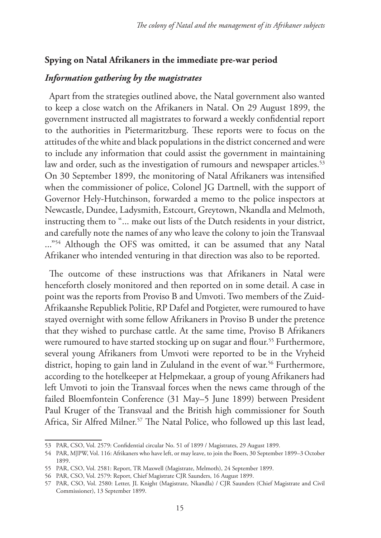#### **Spying on Natal Afrikaners in the immediate pre-war period**

## *Information gathering by the magistrates*

Apart from the strategies outlined above, the Natal government also wanted to keep a close watch on the Afrikaners in Natal. On 29 August 1899, the government instructed all magistrates to forward a weekly confidential report to the authorities in Pietermaritzburg. These reports were to focus on the attitudes of the white and black populations in the district concerned and were to include any information that could assist the government in maintaining law and order, such as the investigation of rumours and newspaper articles.<sup>53</sup> On 30 September 1899, the monitoring of Natal Afrikaners was intensified when the commissioner of police, Colonel JG Dartnell, with the support of Governor Hely-Hutchinson, forwarded a memo to the police inspectors at Newcastle, Dundee, Ladysmith, Estcourt, Greytown, Nkandla and Melmoth, instructing them to "... make out lists of the Dutch residents in your district, and carefully note the names of any who leave the colony to join the Transvaal ..."<sup>54</sup> Although the OFS was omitted, it can be assumed that any Natal Afrikaner who intended venturing in that direction was also to be reported.

The outcome of these instructions was that Afrikaners in Natal were henceforth closely monitored and then reported on in some detail. A case in point was the reports from Proviso B and Umvoti. Two members of the Zuid-Afrikaanshe Republiek Politie, RP Dafel and Potgieter, were rumoured to have stayed overnight with some fellow Afrikaners in Proviso B under the pretence that they wished to purchase cattle. At the same time, Proviso B Afrikaners were rumoured to have started stocking up on sugar and flour.<sup>55</sup> Furthermore, several young Afrikaners from Umvoti were reported to be in the Vryheid district, hoping to gain land in Zululand in the event of war.<sup>56</sup> Furthermore, according to the hotelkeeper at Helpmekaar, a group of young Afrikaners had left Umvoti to join the Transvaal forces when the news came through of the failed Bloemfontein Conference (31 May–5 June 1899) between President Paul Kruger of the Transvaal and the British high commissioner for South Africa, Sir Alfred Milner.<sup>57</sup> The Natal Police, who followed up this last lead,

<sup>53</sup> PAR, CSO, Vol. 2579: Confidential circular No. 51 of 1899 / Magistrates, 29 August 1899.

<sup>54</sup> PAR, MJPW, Vol. 116: Afrikaners who have left, or may leave, to join the Boers, 30 September 1899–3 October 1899.

<sup>55</sup> PAR, CSO, Vol. 2581: Report, TR Maxwell (Magistrate, Melmoth), 24 September 1899.

<sup>56</sup> PAR, CSO, Vol. 2579: Report, Chief Magistrate CJR Saunders, 16 August 1899.

<sup>57</sup> PAR, CSO, Vol. 2580: Letter, JL Knight (Magistrate, Nkandla) / CJR Saunders (Chief Magistrate and Civil Commissioner), 13 September 1899.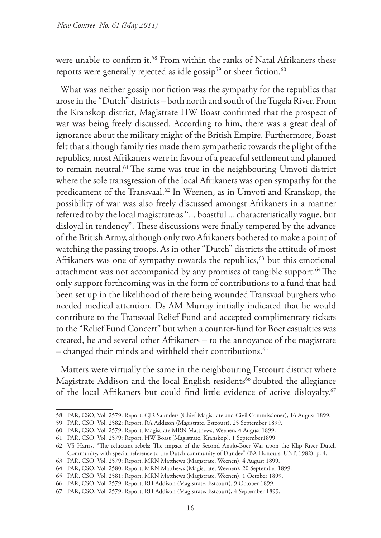were unable to confirm it.58 From within the ranks of Natal Afrikaners these reports were generally rejected as idle gossip<sup>59</sup> or sheer fiction.<sup>60</sup>

What was neither gossip nor fiction was the sympathy for the republics that arose in the "Dutch" districts – both north and south of the Tugela River. From the Kranskop district, Magistrate HW Boast confirmed that the prospect of war was being freely discussed. According to him, there was a great deal of ignorance about the military might of the British Empire. Furthermore, Boast felt that although family ties made them sympathetic towards the plight of the republics, most Afrikaners were in favour of a peaceful settlement and planned to remain neutral.61 The same was true in the neighbouring Umvoti district where the sole transgression of the local Afrikaners was open sympathy for the predicament of the Transvaal.<sup>62</sup> In Weenen, as in Umvoti and Kranskop, the possibility of war was also freely discussed amongst Afrikaners in a manner referred to by the local magistrate as "... boastful ... characteristically vague, but disloyal in tendency". These discussions were finally tempered by the advance of the British Army, although only two Afrikaners bothered to make a point of watching the passing troops. As in other "Dutch" districts the attitude of most Afrikaners was one of sympathy towards the republics,<sup>63</sup> but this emotional attachment was not accompanied by any promises of tangible support.<sup>64</sup> The only support forthcoming was in the form of contributions to a fund that had been set up in the likelihood of there being wounded Transvaal burghers who needed medical attention. Ds AM Murray initially indicated that he would contribute to the Transvaal Relief Fund and accepted complimentary tickets to the "Relief Fund Concert" but when a counter-fund for Boer casualties was created, he and several other Afrikaners – to the annoyance of the magistrate – changed their minds and withheld their contributions.65

Matters were virtually the same in the neighbouring Estcourt district where Magistrate Addison and the local English residents<sup>66</sup> doubted the allegiance of the local Afrikaners but could find little evidence of active disloyalty.<sup>67</sup>

<sup>58</sup> PAR, CSO, Vol. 2579: Report, CJR Saunders (Chief Magistrate and Civil Commissioner), 16 August 1899.

<sup>59</sup> PAR, CSO, Vol. 2582: Report, RA Addison (Magistrate, Estcourt), 25 September 1899.

<sup>60</sup> PAR, CSO, Vol. 2579: Report, Magistrate MRN Matthews, Weenen, 4 August 1899.

<sup>61</sup> PAR, CSO, Vol. 2579: Report, HW Boast (Magistrate, Kranskop), 1 September1899.

<sup>62</sup> VS Harris, "The reluctant rebels: The impact of the Second Anglo-Boer War upon the Klip River Dutch Community, with special reference to the Dutch community of Dundee" (BA Honours, UNP, 1982), p. 4.

<sup>63</sup> PAR, CSO, Vol. 2579: Report, MRN Matthews (Magistrate, Weenen), 4 August 1899.

<sup>64</sup> PAR, CSO, Vol. 2580: Report, MRN Matthews (Magistrate, Weenen), 20 September 1899.

<sup>65</sup> PAR, CSO, Vol. 2581: Report, MRN Matthews (Magistrate, Weenen), 1 October 1899.

<sup>66</sup> PAR, CSO, Vol. 2579: Report, RH Addison (Magistrate, Estcourt), 9 October 1899.

<sup>67</sup> PAR, CSO, Vol. 2579: Report, RH Addison (Magistrate, Estcourt), 4 September 1899.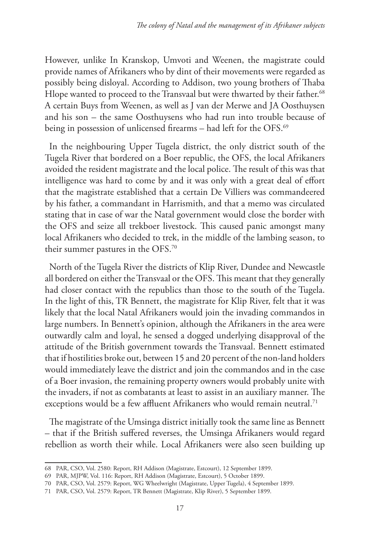However, unlike In Kranskop, Umvoti and Weenen, the magistrate could provide names of Afrikaners who by dint of their movements were regarded as possibly being disloyal. According to Addison, two young brothers of Thaba Hlope wanted to proceed to the Transvaal but were thwarted by their father.<sup>68</sup> A certain Buys from Weenen, as well as J van der Merwe and JA Oosthuysen and his son – the same Oosthuysens who had run into trouble because of being in possession of unlicensed firearms – had left for the OFS.<sup>69</sup>

In the neighbouring Upper Tugela district, the only district south of the Tugela River that bordered on a Boer republic, the OFS, the local Afrikaners avoided the resident magistrate and the local police. The result of this was that intelligence was hard to come by and it was only with a great deal of effort that the magistrate established that a certain De Villiers was commandeered by his father, a commandant in Harrismith, and that a memo was circulated stating that in case of war the Natal government would close the border with the OFS and seize all trekboer livestock. This caused panic amongst many local Afrikaners who decided to trek, in the middle of the lambing season, to their summer pastures in the OFS.70

North of the Tugela River the districts of Klip River, Dundee and Newcastle all bordered on either the Transvaal or the OFS. This meant that they generally had closer contact with the republics than those to the south of the Tugela. In the light of this, TR Bennett, the magistrate for Klip River, felt that it was likely that the local Natal Afrikaners would join the invading commandos in large numbers. In Bennett's opinion, although the Afrikaners in the area were outwardly calm and loyal, he sensed a dogged underlying disapproval of the attitude of the British government towards the Transvaal. Bennett estimated that if hostilities broke out, between 15 and 20 percent of the non-land holders would immediately leave the district and join the commandos and in the case of a Boer invasion, the remaining property owners would probably unite with the invaders, if not as combatants at least to assist in an auxiliary manner. The exceptions would be a few affluent Afrikaners who would remain neutral.<sup>71</sup>

The magistrate of the Umsinga district initially took the same line as Bennett – that if the British suffered reverses, the Umsinga Afrikaners would regard rebellion as worth their while. Local Afrikaners were also seen building up

<sup>68</sup> PAR, CSO, Vol. 2580: Report, RH Addison (Magistrate, Estcourt), 12 September 1899.

<sup>69</sup> PAR, MJPW, Vol. 116: Report, RH Addison (Magistrate, Estcourt), 5 October 1899.

<sup>70</sup> PAR, CSO, Vol. 2579: Report, WG Wheelwright (Magistrate, Upper Tugela), 4 September 1899.

<sup>71</sup> PAR, CSO, Vol. 2579: Report, TR Bennett (Magistrate, Klip River), 5 September 1899.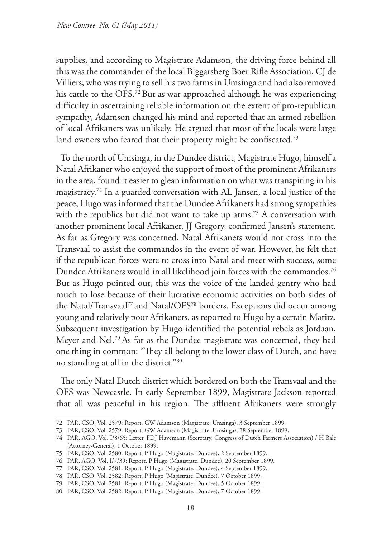supplies, and according to Magistrate Adamson, the driving force behind all this was the commander of the local Biggarsberg Boer Rifle Association, CJ de Villiers, who was trying to sell his two farms in Umsinga and had also removed his cattle to the OFS.<sup>72</sup> But as war approached although he was experiencing difficulty in ascertaining reliable information on the extent of pro-republican sympathy, Adamson changed his mind and reported that an armed rebellion of local Afrikaners was unlikely. He argued that most of the locals were large land owners who feared that their property might be confiscated.<sup>73</sup>

To the north of Umsinga, in the Dundee district, Magistrate Hugo, himself a Natal Afrikaner who enjoyed the support of most of the prominent Afrikaners in the area, found it easier to glean information on what was transpiring in his magistracy.74 In a guarded conversation with AL Jansen, a local justice of the peace, Hugo was informed that the Dundee Afrikaners had strong sympathies with the republics but did not want to take up arms.<sup>75</sup> A conversation with another prominent local Afrikaner, JJ Gregory, confirmed Jansen's statement. As far as Gregory was concerned, Natal Afrikaners would not cross into the Transvaal to assist the commandos in the event of war. However, he felt that if the republican forces were to cross into Natal and meet with success, some Dundee Afrikaners would in all likelihood join forces with the commandos.<sup>76</sup> But as Hugo pointed out, this was the voice of the landed gentry who had much to lose because of their lucrative economic activities on both sides of the Natal/Transvaal<sup>77</sup> and Natal/OFS<sup>78</sup> borders. Exceptions did occur among young and relatively poor Afrikaners, as reported to Hugo by a certain Maritz. Subsequent investigation by Hugo identified the potential rebels as Jordaan, Meyer and Nel.79 As far as the Dundee magistrate was concerned, they had one thing in common: "They all belong to the lower class of Dutch, and have no standing at all in the district."80

The only Natal Dutch district which bordered on both the Transvaal and the OFS was Newcastle. In early September 1899, Magistrate Jackson reported that all was peaceful in his region. The affluent Afrikaners were strongly

<sup>72</sup> PAR, CSO, Vol. 2579: Report, GW Adamson (Magistrate, Umsinga), 3 September 1899.

<sup>73</sup> PAR, CSO, Vol. 2579: Report, GW Adamson (Magistrate, Umsinga), 28 September 1899.

<sup>74</sup> PAR, AGO, Vol. I/8/65: Letter, FDJ Havemann (Secretary, Congress of Dutch Farmers Association) / H Bale (Attorney-General), 1 October 1899.

<sup>75</sup> PAR, CSO, Vol. 2580: Report, P Hugo (Magistrate, Dundee), 2 September 1899.

<sup>76</sup> PAR, AGO, Vol. I/7/39: Report, P Hugo (Magistrate, Dundee), 20 September 1899.

<sup>77</sup> PAR, CSO, Vol. 2581: Report, P Hugo (Magistrate, Dundee), 4 September 1899.

<sup>78</sup> PAR, CSO, Vol. 2582: Report, P Hugo (Magistrate, Dundee), 7 October 1899.

<sup>79</sup> PAR, CSO, Vol. 2581: Report, P Hugo (Magistrate, Dundee), 5 October 1899.

<sup>80</sup> PAR, CSO, Vol. 2582: Report, P Hugo (Magistrate, Dundee), 7 October 1899.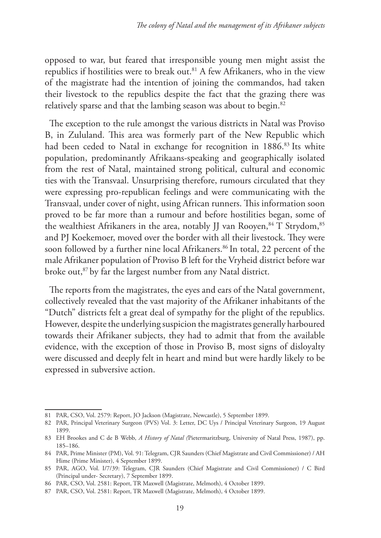opposed to war, but feared that irresponsible young men might assist the republics if hostilities were to break out.81 A few Afrikaners, who in the view of the magistrate had the intention of joining the commandos, had taken their livestock to the republics despite the fact that the grazing there was relatively sparse and that the lambing season was about to begin.<sup>82</sup>

The exception to the rule amongst the various districts in Natal was Proviso B, in Zululand. This area was formerly part of the New Republic which had been ceded to Natal in exchange for recognition in 1886.<sup>83</sup> Its white population, predominantly Afrikaans-speaking and geographically isolated from the rest of Natal, maintained strong political, cultural and economic ties with the Transvaal. Unsurprising therefore, rumours circulated that they were expressing pro-republican feelings and were communicating with the Transvaal, under cover of night, using African runners. This information soon proved to be far more than a rumour and before hostilities began, some of the wealthiest Afrikaners in the area, notably JJ van Rooyen,  $84$  T Strydom,  $85$ and PJ Koekemoer, moved over the border with all their livestock. They were soon followed by a further nine local Afrikaners.<sup>86</sup> In total, 22 percent of the male Afrikaner population of Proviso B left for the Vryheid district before war broke out,<sup>87</sup> by far the largest number from any Natal district.

The reports from the magistrates, the eyes and ears of the Natal government, collectively revealed that the vast majority of the Afrikaner inhabitants of the "Dutch" districts felt a great deal of sympathy for the plight of the republics. However, despite the underlying suspicion the magistrates generally harboured towards their Afrikaner subjects, they had to admit that from the available evidence, with the exception of those in Proviso B, most signs of disloyalty were discussed and deeply felt in heart and mind but were hardly likely to be expressed in subversive action.

<sup>81</sup> PAR, CSO, Vol. 2579: Report, JO Jackson (Magistrate, Newcastle), 5 September 1899.

<sup>82</sup> PAR, Principal Veterinary Surgeon (PVS) Vol. 3: Letter, DC Uys / Principal Veterinary Surgeon, 19 August 1899.

<sup>83</sup> EH Brookes and C de B Webb, *A History of Natal (*Pietermaritzburg, University of Natal Press, 1987), pp. 185–186.

<sup>84</sup> PAR, Prime Minister (PM), Vol. 91: Telegram, CJR Saunders (Chief Magistrate and Civil Commissioner) / AH Hime (Prime Minister), 4 September 1899.

<sup>85</sup> PAR, AGO, Vol. I/7/39: Telegram, CJR Saunders (Chief Magistrate and Civil Commissioner) / C Bird (Principal under- Secretary), 7 September 1899.

<sup>86</sup> PAR, CSO, Vol. 2581: Report, TR Maxwell (Magistrate, Melmoth), 4 October 1899.

<sup>87</sup> PAR, CSO, Vol. 2581: Report, TR Maxwell (Magistrate, Melmoth), 4 October 1899.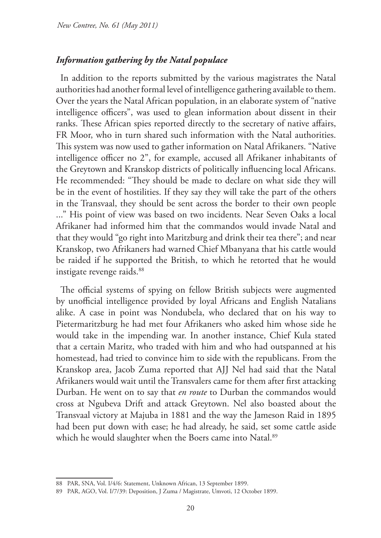## *Information gathering by the Natal populace*

In addition to the reports submitted by the various magistrates the Natal authorities had another formal level of intelligence gathering available to them. Over the years the Natal African population, in an elaborate system of "native intelligence officers", was used to glean information about dissent in their ranks. These African spies reported directly to the secretary of native affairs, FR Moor, who in turn shared such information with the Natal authorities. This system was now used to gather information on Natal Afrikaners. "Native intelligence officer no 2", for example, accused all Afrikaner inhabitants of the Greytown and Kranskop districts of politically influencing local Africans. He recommended: "They should be made to declare on what side they will be in the event of hostilities. If they say they will take the part of the others in the Transvaal, they should be sent across the border to their own people ..." His point of view was based on two incidents. Near Seven Oaks a local Afrikaner had informed him that the commandos would invade Natal and that they would "go right into Maritzburg and drink their tea there"; and near Kranskop, two Afrikaners had warned Chief Mbanyana that his cattle would be raided if he supported the British, to which he retorted that he would instigate revenge raids.<sup>88</sup>

The official systems of spying on fellow British subjects were augmented by unofficial intelligence provided by loyal Africans and English Natalians alike. A case in point was Nondubela, who declared that on his way to Pietermaritzburg he had met four Afrikaners who asked him whose side he would take in the impending war. In another instance, Chief Kula stated that a certain Maritz, who traded with him and who had outspanned at his homestead, had tried to convince him to side with the republicans. From the Kranskop area, Jacob Zuma reported that AJJ Nel had said that the Natal Afrikaners would wait until the Transvalers came for them after first attacking Durban. He went on to say that *en route* to Durban the commandos would cross at Ngubeva Drift and attack Greytown. Nel also boasted about the Transvaal victory at Majuba in 1881 and the way the Jameson Raid in 1895 had been put down with ease; he had already, he said, set some cattle aside which he would slaughter when the Boers came into Natal.<sup>89</sup>

<sup>88</sup> PAR, SNA, Vol. I/4/6: Statement, Unknown African, 13 September 1899.

<sup>89</sup> PAR, AGO, Vol. I/7/39: Deposition, J Zuma / Magistrate, Umvoti, 12 October 1899.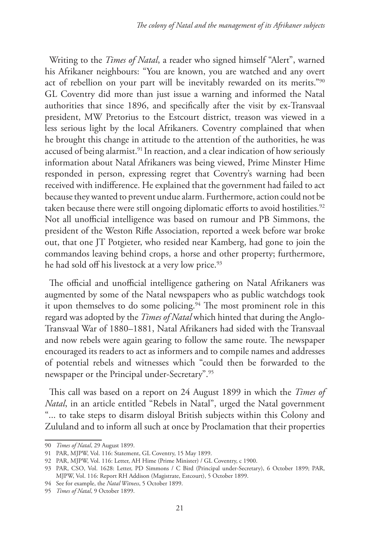Writing to the *Times of Natal*, a reader who signed himself "Alert", warned his Afrikaner neighbours: "You are known, you are watched and any overt act of rebellion on your part will be inevitably rewarded on its merits."90 GL Coventry did more than just issue a warning and informed the Natal authorities that since 1896, and specifically after the visit by ex-Transvaal president, MW Pretorius to the Estcourt district, treason was viewed in a less serious light by the local Afrikaners. Coventry complained that when he brought this change in attitude to the attention of the authorities, he was accused of being alarmist.<sup>91</sup> In reaction, and a clear indication of how seriously information about Natal Afrikaners was being viewed, Prime Minster Hime responded in person, expressing regret that Coventry's warning had been received with indifference. He explained that the government had failed to act because they wanted to prevent undue alarm. Furthermore, action could not be taken because there were still ongoing diplomatic efforts to avoid hostilities.<sup>92</sup> Not all unofficial intelligence was based on rumour and PB Simmons, the president of the Weston Rifle Association, reported a week before war broke out, that one JT Potgieter, who resided near Kamberg, had gone to join the commandos leaving behind crops, a horse and other property; furthermore, he had sold off his livestock at a very low price.<sup>93</sup>

The official and unofficial intelligence gathering on Natal Afrikaners was augmented by some of the Natal newspapers who as public watchdogs took it upon themselves to do some policing.<sup>94</sup> The most prominent role in this regard was adopted by the *Times of Natal* which hinted that during the Anglo-Transvaal War of 1880–1881, Natal Afrikaners had sided with the Transvaal and now rebels were again gearing to follow the same route. The newspaper encouraged its readers to act as informers and to compile names and addresses of potential rebels and witnesses which "could then be forwarded to the newspaper or the Principal under-Secretary".95

This call was based on a report on 24 August 1899 in which the *Times of Natal*, in an article entitled "Rebels in Natal", urged the Natal government "... to take steps to disarm disloyal British subjects within this Colony and Zululand and to inform all such at once by Proclamation that their properties

<sup>90</sup> *Times of Natal*, 29 August 1899.

<sup>91</sup> PAR, MJPW, Vol. 116: Statement, GL Coventry, 15 May 1899.

<sup>92</sup> PAR, MJPW, Vol. 116: Letter, AH Hime (Prime Minister) / GL Coventry, c 1900.

<sup>93</sup> PAR, CSO, Vol. 1628: Letter, PD Simmons / C Bird (Principal under-Secretary), 6 October 1899; PAR, MJPW, Vol. 116: Report RH Addison (Magistrate, Estcourt), 5 October 1899.

<sup>94</sup> See for example, the *Natal Witness*, 5 October 1899.

<sup>95</sup> *Times of Natal*, 9 October 1899.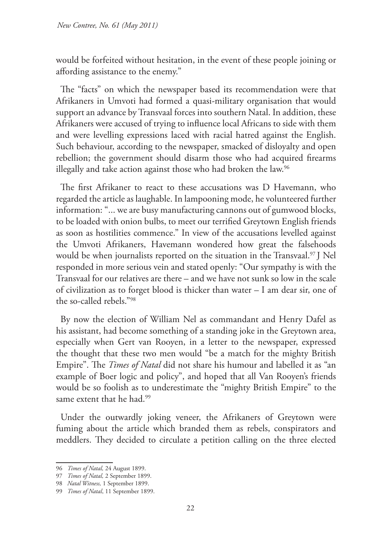would be forfeited without hesitation, in the event of these people joining or affording assistance to the enemy."

The "facts" on which the newspaper based its recommendation were that Afrikaners in Umvoti had formed a quasi-military organisation that would support an advance by Transvaal forces into southern Natal. In addition, these Afrikaners were accused of trying to influence local Africans to side with them and were levelling expressions laced with racial hatred against the English. Such behaviour, according to the newspaper, smacked of disloyalty and open rebellion; the government should disarm those who had acquired firearms illegally and take action against those who had broken the law.<sup>96</sup>

The first Afrikaner to react to these accusations was D Havemann, who regarded the article as laughable. In lampooning mode, he volunteered further information: "... we are busy manufacturing cannons out of gumwood blocks, to be loaded with onion bulbs, to meet our terrified Greytown English friends as soon as hostilities commence." In view of the accusations levelled against the Umvoti Afrikaners, Havemann wondered how great the falsehoods would be when journalists reported on the situation in the Transvaal.<sup>97</sup> J Nel responded in more serious vein and stated openly: "Our sympathy is with the Transvaal for our relatives are there – and we have not sunk so low in the scale of civilization as to forget blood is thicker than water – I am dear sir, one of the so-called rebels."98

By now the election of William Nel as commandant and Henry Dafel as his assistant, had become something of a standing joke in the Greytown area, especially when Gert van Rooyen, in a letter to the newspaper, expressed the thought that these two men would "be a match for the mighty British Empire". The *Times of Natal* did not share his humour and labelled it as "an example of Boer logic and policy", and hoped that all Van Rooyen's friends would be so foolish as to underestimate the "mighty British Empire" to the same extent that he had.<sup>99</sup>

Under the outwardly joking veneer, the Afrikaners of Greytown were fuming about the article which branded them as rebels, conspirators and meddlers. They decided to circulate a petition calling on the three elected

<sup>96</sup> *Times of Natal,* 24 August 1899.

<sup>97</sup> *Times of Natal,* 2 September 1899.

<sup>98</sup> *Natal Witness,* 1 September 1899.

<sup>99</sup> *Times of Natal*, 11 September 1899.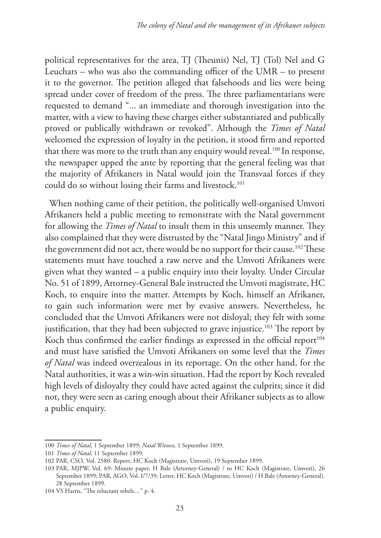political representatives for the area, TJ (Theunis) Nel, TJ (Tol) Nel and G Leuchars – who was also the commanding officer of the UMR – to present it to the governor. The petition alleged that falsehoods and lies were being spread under cover of freedom of the press. The three parliamentarians were requested to demand "... an immediate and thorough investigation into the matter, with a view to having these charges either substantiated and publically proved or publically withdrawn or revoked". Although the *Times of Natal* welcomed the expression of loyalty in the petition, it stood firm and reported that there was more to the truth than any enquiry would reveal.<sup>100</sup> In response, the newspaper upped the ante by reporting that the general feeling was that the majority of Afrikaners in Natal would join the Transvaal forces if they could do so without losing their farms and livestock.<sup>101</sup>

When nothing came of their petition, the politically well-organised Umvoti Afrikaners held a public meeting to remonstrate with the Natal government for allowing the *Times of Natal* to insult them in this unseemly manner. They also complained that they were distrusted by the "Natal Jingo Ministry" and if the government did not act, there would be no support for their cause.<sup>102</sup> These statements must have touched a raw nerve and the Umvoti Afrikaners were given what they wanted – a public enquiry into their loyalty. Under Circular No. 51 of 1899, Attorney-General Bale instructed the Umvoti magistrate, HC Koch, to enquire into the matter. Attempts by Koch, himself an Afrikaner, to gain such information were met by evasive answers. Nevertheless, he concluded that the Umvoti Afrikaners were not disloyal; they felt with some justification, that they had been subjected to grave injustice.<sup>103</sup> The report by Koch thus confirmed the earlier findings as expressed in the official report<sup>104</sup> and must have satisfied the Umvoti Afrikaners on some level that the *Times of Natal* was indeed overzealous in its reportage. On the other hand, for the Natal authorities, it was a win-win situation. Had the report by Koch revealed high levels of disloyalty they could have acted against the culprits; since it did not, they were seen as caring enough about their Afrikaner subjects as to allow a public enquiry.

<sup>100</sup> *Times of Natal,* 1 September 1899; *Natal Witness,* 1 September 1899.

<sup>101</sup> *Times of Natal,* 11 September 1899.

<sup>102</sup> PAR, CSO, Vol. 2580: Report, HC Koch (Magistrate, Umvoti), 19 September 1899.

<sup>103</sup> PAR, MJPW, Vol. 69: Minute paper, H Bale (Attorney-General) / to HC Koch (Magistrate, Umvoti), 26 September 1899; PAR, AGO, Vol. I/7/39: Letter, HC Koch (Magistrate, Umvoti) / H Bale (Attorney-General), 28 September 1899.

<sup>104</sup> VS Harris, "The reluctant rebels…" p. 4.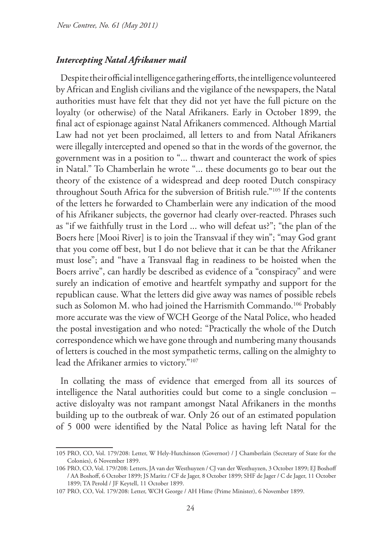#### *Intercepting Natal Afrikaner mail*

Despite their official intelligence gathering efforts, the intelligence volunteered by African and English civilians and the vigilance of the newspapers, the Natal authorities must have felt that they did not yet have the full picture on the loyalty (or otherwise) of the Natal Afrikaners. Early in October 1899, the final act of espionage against Natal Afrikaners commenced. Although Martial Law had not yet been proclaimed, all letters to and from Natal Afrikaners were illegally intercepted and opened so that in the words of the governor, the government was in a position to "... thwart and counteract the work of spies in Natal." To Chamberlain he wrote "... these documents go to bear out the theory of the existence of a widespread and deep rooted Dutch conspiracy throughout South Africa for the subversion of British rule."105 If the contents of the letters he forwarded to Chamberlain were any indication of the mood of his Afrikaner subjects, the governor had clearly over-reacted. Phrases such as "if we faithfully trust in the Lord ... who will defeat us?"; "the plan of the Boers here [Mooi River] is to join the Transvaal if they win"; "may God grant that you come off best, but I do not believe that it can be that the Afrikaner must lose"; and "have a Transvaal flag in readiness to be hoisted when the Boers arrive", can hardly be described as evidence of a "conspiracy" and were surely an indication of emotive and heartfelt sympathy and support for the republican cause. What the letters did give away was names of possible rebels such as Solomon M. who had joined the Harrismith Commando.<sup>106</sup> Probably more accurate was the view of WCH George of the Natal Police, who headed the postal investigation and who noted: "Practically the whole of the Dutch correspondence which we have gone through and numbering many thousands of letters is couched in the most sympathetic terms, calling on the almighty to lead the Afrikaner armies to victory."107

In collating the mass of evidence that emerged from all its sources of intelligence the Natal authorities could but come to a single conclusion – active disloyalty was not rampant amongst Natal Afrikaners in the months building up to the outbreak of war. Only 26 out of an estimated population of 5 000 were identified by the Natal Police as having left Natal for the

<sup>105</sup> PRO, CO, Vol. 179/208: Letter, W Hely-Hutchinson (Governor) / J Chamberlain (Secretary of State for the Colonies), 6 November 1899.

<sup>106</sup> PRO, CO, Vol. 179/208: Letters, JA van der Westhuyzen / CJ van der Westhuyzen, 3 October 1899; EJ Boshoff / AA Boshoff, 6 October 1899; JS Maritz / CF de Jager, 8 October 1899; SHF de Jager / C de Jager, 11 October 1899; TA Perold / JF Keytell, 11 October 1899.

<sup>107</sup> PRO, CO, Vol. 179/208: Letter, WCH George / AH Hime (Prime Minister), 6 November 1899.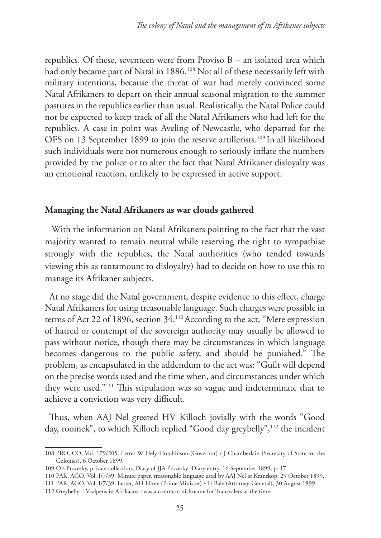republics. Of these, seventeen were from Proviso B – an isolated area which had only became part of Natal in 1886.<sup>108</sup> Not all of these necessarily left with military intentions, because the threat of war had merely convinced some Natal Afrikaners to depart on their annual seasonal migration to the summer pastures in the republics earlier than usual. Realistically, the Natal Police could not be expected to keep track of all the Natal Afrikaners who had left for the republics. A case in point was Aveling of Newcastle, who departed for the OFS on 13 September 1899 to join the reserve artillerists.109 In all likelihood such individuals were not numerous enough to seriously inflate the numbers provided by the police or to alter the fact that Natal Afrikaner disloyalty was an emotional reaction, unlikely to be expressed in active support.

## **Managing the Natal Afrikaners as war clouds gathered**

With the information on Natal Afrikaners pointing to the fact that the vast majority wanted to remain neutral while reserving the right to sympathise strongly with the republics, the Natal authorities (who tended towards viewing this as tantamount to disloyalty) had to decide on how to use this to manage its Afrikaner subjects.

At no stage did the Natal government, despite evidence to this effect, charge Natal Afrikaners for using treasonable language. Such charges were possible in terms of Act 22 of 1896, section 34.110 According to the act, "Mere expression of hatred or contempt of the sovereign authority may usually be allowed to pass without notice, though there may be circumstances in which language becomes dangerous to the public safety, and should be punished." The problem, as encapsulated in the addendum to the act was: "Guilt will depend on the precise words used and the time when, and circumstances under which they were used."111 This stipulation was so vague and indeterminate that to achieve a conviction was very difficult.

Thus, when AAJ Nel greeted HV Killoch jovially with the words "Good day, rooinek", to which Killoch replied "Good day greybelly",<sup>112</sup> the incident

<sup>108</sup> PRO, CO, Vol. 179/205: Letter W Hely-Hutchinson (Governor) / J Chamberlain (Secretary of State for the Colonies), 6 October 1899.

<sup>109</sup> OE Prozesky, private collection, Diary of JJA Prozesky: Diary entry, 16 September 1899, p. 17.

<sup>110</sup> PAR, AGO, Vol. I/7/39: Minute paper, treasonable language used by AAJ Nel at Kranskop, 29 October 1899.

<sup>111</sup> PAR, AGO, Vol. I/7/39: Letter, AH Hime (Prime Minister) / H Bale (Attorney-General), 30 August 1899.

<sup>112</sup> Greybelly – Vaalpens in Afrikaans - was a common nickname for Transvalers at the time.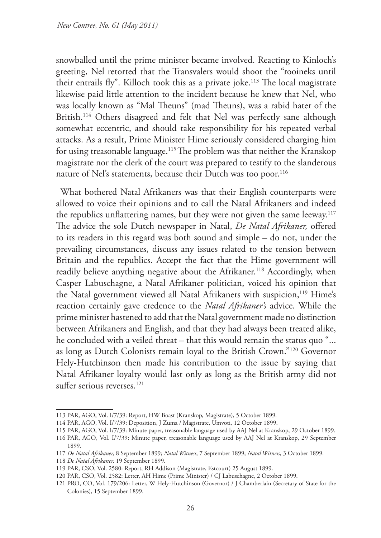snowballed until the prime minister became involved. Reacting to Kinloch's greeting, Nel retorted that the Transvalers would shoot the "rooineks until their entrails fly". Killoch took this as a private joke.<sup>113</sup> The local magistrate likewise paid little attention to the incident because he knew that Nel, who was locally known as "Mal Theuns" (mad Theuns), was a rabid hater of the British.114 Others disagreed and felt that Nel was perfectly sane although somewhat eccentric, and should take responsibility for his repeated verbal attacks. As a result, Prime Minister Hime seriously considered charging him for using treasonable language.115 The problem was that neither the Kranskop magistrate nor the clerk of the court was prepared to testify to the slanderous nature of Nel's statements, because their Dutch was too poor.<sup>116</sup>

What bothered Natal Afrikaners was that their English counterparts were allowed to voice their opinions and to call the Natal Afrikaners and indeed the republics unflattering names, but they were not given the same leeway.<sup>117</sup> The advice the sole Dutch newspaper in Natal, *De Natal Afrikaner,* offered to its readers in this regard was both sound and simple – do not, under the prevailing circumstances, discuss any issues related to the tension between Britain and the republics. Accept the fact that the Hime government will readily believe anything negative about the Afrikaner.<sup>118</sup> Accordingly, when Casper Labuschagne, a Natal Afrikaner politician, voiced his opinion that the Natal government viewed all Natal Afrikaners with suspicion,<sup>119</sup> Hime's reaction certainly gave credence to the *Natal Afrikaner's* advice. While the prime minister hastened to add that the Natal government made no distinction between Afrikaners and English, and that they had always been treated alike, he concluded with a veiled threat – that this would remain the status quo "... as long as Dutch Colonists remain loyal to the British Crown."120 Governor Hely-Hutchinson then made his contribution to the issue by saying that Natal Afrikaner loyalty would last only as long as the British army did not suffer serious reverses.<sup>121</sup>

<sup>113</sup> PAR, AGO, Vol. I/7/39: Report, HW Boast (Kranskop, Magistrate), 5 October 1899.

<sup>114</sup> PAR, AGO, Vol. I/7/39: Deposition, J Zuma / Magistrate, Umvoti, 12 October 1899.

<sup>115</sup> PAR, AGO, Vol. I/7/39: Minute paper, treasonable language used by AAJ Nel at Kranskop, 29 October 1899.

<sup>116</sup> PAR, AGO, Vol. I/7/39: Minute paper, treasonable language used by AAJ Nel at Kranskop, 29 September 1899.

<sup>117</sup> *De Natal Afrikaner,* 8 September 1899; *Natal Witness*, 7 September 1899; *Natal Witness,* 3 October 1899.

<sup>118</sup> *De Natal Afrikaner,* 19 September 1899.

<sup>119</sup> PAR, CSO, Vol. 2580: Report, RH Addison (Magistrate, Estcourt) 25 August 1899.

<sup>120</sup> PAR, CSO, Vol. 2582: Letter, AH Hime (Prime Minister) / CJ Labuschagne, 2 October 1899.

<sup>121</sup> PRO, CO, Vol. 179/206: Letter, W Hely-Hutchinson (Governor) / J Chamberlain (Secretary of State for the Colonies), 15 September 1899.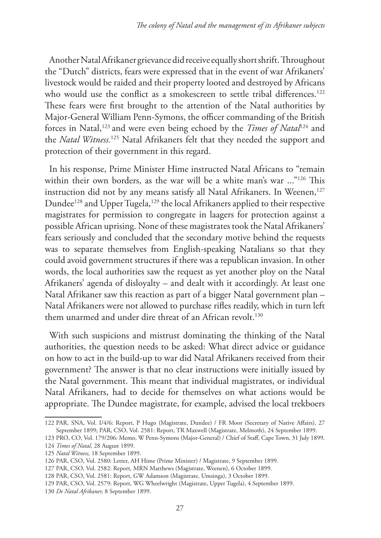Another Natal Afrikaner grievance did receive equally short shrift. Throughout the "Dutch" districts, fears were expressed that in the event of war Afrikaners' livestock would be raided and their property looted and destroyed by Africans who would use the conflict as a smokescreen to settle tribal differences.<sup>122</sup> These fears were first brought to the attention of the Natal authorities by Major-General William Penn-Symons, the officer commanding of the British forces in Natal,123 and were even being echoed by the *Times of Natal*124 and the *Natal Witness.*125 Natal Afrikaners felt that they needed the support and protection of their government in this regard.

In his response, Prime Minister Hime instructed Natal Africans to "remain within their own borders, as the war will be a white man's war ..."<sup>126</sup> This instruction did not by any means satisfy all Natal Afrikaners. In Weenen,<sup>127</sup> Dundee<sup>128</sup> and Upper Tugela,<sup>129</sup> the local Afrikaners applied to their respective magistrates for permission to congregate in laagers for protection against a possible African uprising. None of these magistrates took the Natal Afrikaners' fears seriously and concluded that the secondary motive behind the requests was to separate themselves from English-speaking Natalians so that they could avoid government structures if there was a republican invasion. In other words, the local authorities saw the request as yet another ploy on the Natal Afrikaners' agenda of disloyalty – and dealt with it accordingly. At least one Natal Afrikaner saw this reaction as part of a bigger Natal government plan – Natal Afrikaners were not allowed to purchase rifles readily, which in turn left them unarmed and under dire threat of an African revolt.<sup>130</sup>

With such suspicions and mistrust dominating the thinking of the Natal authorities, the question needs to be asked: What direct advice or guidance on how to act in the build-up to war did Natal Afrikaners received from their government? The answer is that no clear instructions were initially issued by the Natal government. This meant that individual magistrates, or individual Natal Afrikaners, had to decide for themselves on what actions would be appropriate. The Dundee magistrate, for example, advised the local trekboers

<sup>122</sup> PAR, SNA, Vol. I/4/6: Report, P Hugo (Magistrate, Dundee) / FR Moor (Secretary of Native Affairs), 27 September 1899; PAR, CSO, Vol. 2581: Report, TR Maxwell (Magistrate, Melmoth), 24 September 1899.

<sup>123</sup> PRO, CO, Vol. 179/206: Memo, W Penn-Symons (Major-General) / Chief of Staff, Cape Town, 31 July 1899. 124 *Times of Natal,* 28 August 1899.

<sup>125</sup> *Natal Witness,* 18 September 1899.

<sup>126</sup> PAR, CSO, Vol. 2580: Letter, AH Hime (Prime Minister) / Magistrate, 9 September 1899.

<sup>127</sup> PAR, CSO, Vol. 2582: Report, MRN Matthews (Magistrate, Weenen), 6 October 1899.

<sup>128</sup> PAR, CSO, Vol. 2581: Report, GW Adamson (Magistrate, Umsinga), 3 October 1899.

<sup>129</sup> PAR, CSO, Vol. 2579: Report, WG Wheelwright (Magistrate, Upper Tugela), 4 September 1899.

<sup>130</sup> *De Natal Afrikaner,* 8 September 1899.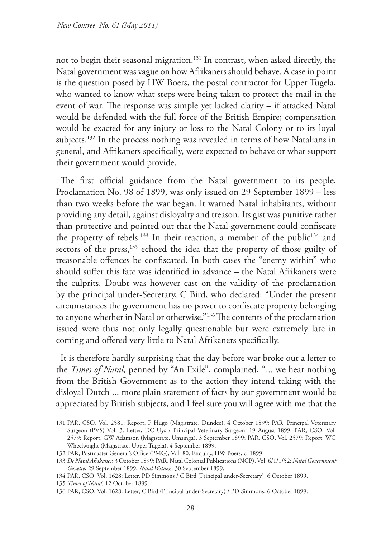not to begin their seasonal migration.131 In contrast, when asked directly, the Natal government was vague on how Afrikaners should behave. A case in point is the question posed by HW Boers, the postal contractor for Upper Tugela, who wanted to know what steps were being taken to protect the mail in the event of war. The response was simple yet lacked clarity – if attacked Natal would be defended with the full force of the British Empire; compensation would be exacted for any injury or loss to the Natal Colony or to its loyal subjects.<sup>132</sup> In the process nothing was revealed in terms of how Natalians in general, and Afrikaners specifically, were expected to behave or what support their government would provide.

The first official guidance from the Natal government to its people, Proclamation No. 98 of 1899, was only issued on 29 September 1899 – less than two weeks before the war began. It warned Natal inhabitants, without providing any detail, against disloyalty and treason. Its gist was punitive rather than protective and pointed out that the Natal government could confiscate the property of rebels.<sup>133</sup> In their reaction, a member of the public<sup>134</sup> and sectors of the press,<sup>135</sup> echoed the idea that the property of those guilty of treasonable offences be confiscated. In both cases the "enemy within" who should suffer this fate was identified in advance – the Natal Afrikaners were the culprits. Doubt was however cast on the validity of the proclamation by the principal under-Secretary, C Bird, who declared: "Under the present circumstances the government has no power to confiscate property belonging to anyone whether in Natal or otherwise."136 The contents of the proclamation issued were thus not only legally questionable but were extremely late in coming and offered very little to Natal Afrikaners specifically.

It is therefore hardly surprising that the day before war broke out a letter to the *Times of Natal,* penned by "An Exile", complained, "... we hear nothing from the British Government as to the action they intend taking with the disloyal Dutch ... more plain statement of facts by our government would be appreciated by British subjects, and I feel sure you will agree with me that the

<sup>131</sup> PAR, CSO, Vol. 2581: Report, P Hugo (Magistrate, Dundee), 4 October 1899; PAR, Principal Veterinary Surgeon (PVS) Vol. 3: Letter, DC Uys / Principal Veterinary Surgeon, 19 August 1899; PAR, CSO, Vol. 2579: Report, GW Adamson (Magistrate, Umsinga), 3 September 1899; PAR, CSO, Vol. 2579: Report, WG Wheelwright (Magistrate, Upper Tugela), 4 September 1899.

<sup>132</sup> PAR, Postmaster General's Office (PMG), Vol. 80: Enquiry, HW Boers, c*.* 1899.

<sup>133</sup> *De Natal Afrikaner,* 3 October 1899; PAR, Natal Colonial Publications (NCP), Vol. 6/1/1/52: *Natal Government Gazette*, 29 September 1899; *Natal Witness,* 30 September 1899.

<sup>134</sup> PAR, CSO, Vol. 1628: Letter, PD Simmons / C Bird (Principal under-Secretary), 6 October 1899.

<sup>135</sup> *Times of Natal,* 12 October 1899.

<sup>136</sup> PAR, CSO, Vol. 1628: Letter, C Bird (Principal under-Secretary) / PD Simmons, 6 October 1899.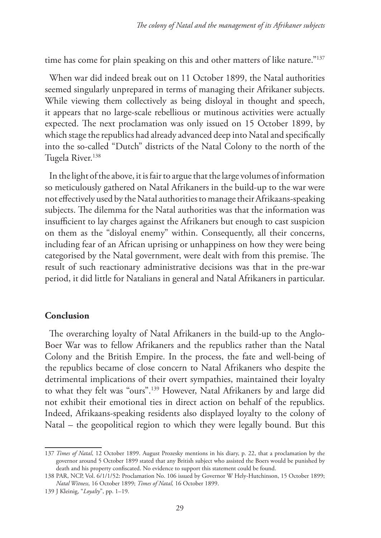time has come for plain speaking on this and other matters of like nature."<sup>137</sup>

When war did indeed break out on 11 October 1899, the Natal authorities seemed singularly unprepared in terms of managing their Afrikaner subjects. While viewing them collectively as being disloyal in thought and speech, it appears that no large-scale rebellious or mutinous activities were actually expected. The next proclamation was only issued on 15 October 1899, by which stage the republics had already advanced deep into Natal and specifically into the so-called "Dutch" districts of the Natal Colony to the north of the Tugela River.<sup>138</sup>

In the light of the above, it is fair to argue that the large volumes of information so meticulously gathered on Natal Afrikaners in the build-up to the war were not effectively used by the Natal authorities to manage their Afrikaans-speaking subjects. The dilemma for the Natal authorities was that the information was insufficient to lay charges against the Afrikaners but enough to cast suspicion on them as the "disloyal enemy" within. Consequently, all their concerns, including fear of an African uprising or unhappiness on how they were being categorised by the Natal government, were dealt with from this premise. The result of such reactionary administrative decisions was that in the pre-war period, it did little for Natalians in general and Natal Afrikaners in particular.

#### **Conclusion**

The overarching loyalty of Natal Afrikaners in the build-up to the Anglo-Boer War was to fellow Afrikaners and the republics rather than the Natal Colony and the British Empire. In the process, the fate and well-being of the republics became of close concern to Natal Afrikaners who despite the detrimental implications of their overt sympathies, maintained their loyalty to what they felt was "ours".139 However, Natal Afrikaners by and large did not exhibit their emotional ties in direct action on behalf of the republics. Indeed, Afrikaans-speaking residents also displayed loyalty to the colony of Natal – the geopolitical region to which they were legally bound. But this

<sup>137</sup> *Times of Natal*, 12 October 1899. August Prozesky mentions in his diary, p. 22, that a proclamation by the governor around 5 October 1899 stated that any British subject who assisted the Boers would be punished by death and his property confiscated. No evidence to support this statement could be found.

<sup>138</sup> PAR, NCP, Vol. 6/1/1/52: Proclamation No. 106 issued by Governor W Hely-Hutchinson, 15 October 1899; *Natal Witness,* 16 October 1899; *Times of Natal,* 16 October 1899.

<sup>139</sup> J Kleinig, "*Loyalty*", pp. 1–19.